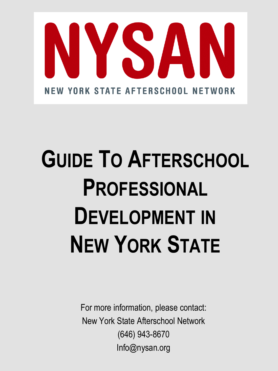

# **GUIDE TO AFTERSCHOOL PROFESSIONAL DEVELOPMENT IN NEW YORK STATE**

For more information, please contact: New York State Afterschool Network (646) 943-8670 Info@nysan.org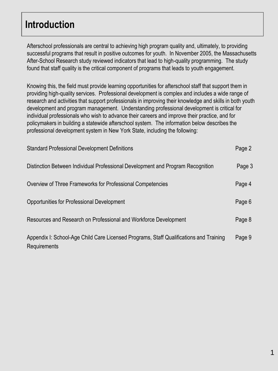### **Introduction**

Afterschool professionals are central to achieving high program quality and, ultimately, to providing successful programs that result in positive outcomes for youth. In November 2005, the Massachusetts After-School Research study reviewed indicators that lead to high-quality programming. The study found that staff quality is the critical component of programs that leads to youth engagement.

Knowing this, the field must provide learning opportunities for afterschool staff that support them in providing high-quality services. Professional development is complex and includes a wide range of research and activities that support professionals in improving their knowledge and skills in both youth development and program management. Understanding professional development is critical for individual professionals who wish to advance their careers and improve their practice, and for policymakers in building a statewide afterschool system. The information below describes the professional development system in New York State, including the following:

| <b>Standard Professional Development Definitions</b>                                                   | Page 2 |
|--------------------------------------------------------------------------------------------------------|--------|
| Distinction Between Individual Professional Development and Program Recognition                        | Page 3 |
| Overview of Three Frameworks for Professional Competencies                                             | Page 4 |
| Opportunities for Professional Development                                                             | Page 6 |
| Resources and Research on Professional and Workforce Development                                       | Page 8 |
| Appendix I: School-Age Child Care Licensed Programs, Staff Qualifications and Training<br>Requirements | Page 9 |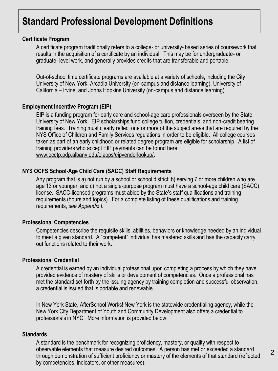#### **Certificate Program**

A certificate program traditionally refers to a college- or university- based series of coursework that results in the acquisition of a certificate by an individual. This may be for undergraduate- or graduate- level work, and generally provides credits that are transferable and portable.

Out-of-school time certificate programs are available at a variety of schools, including the City University of New York, Arcadia University (on-campus and distance learning), University of California – Irvine, and Johns Hopkins University (on-campus and distance learning).

#### **Employment Incentive Program (EIP)**

EIP is a funding program for early care and school-age care professionals overseen by the State University of New York. EIP scholarships fund college tuition, credentials, and non-credit bearing training fees. Training must clearly reflect one or more of the subject areas that are required by the NYS Office of Children and Family Services regulations in order to be eligible. All college courses taken as part of an early childhood or related degree program are eligible for scholarship. A list of training providers who accept EIP payments can be found here: [www.ecetp.pdp.albany.edu/olapps/eipvendorlookup/.](http://www.ecetp.pdp.albany.edu/olapps/eipvendorlookup/)

#### **NYS OCFS School-Age Child Care (SACC) Staff Requirements**

Any program that is a) not run by a school or school district; b) serving 7 or more children who are age 13 or younger, and c) not a single-purpose program must have a school-age child care (SACC) license. SACC-licensed programs must abide by the State's staff qualifications and training requirements (hours and topics). For a complete listing of these qualifications and training requirements, *see Appendix I.*

#### **Professional Competencies**

Competencies describe the requisite skills, abilities, behaviors or knowledge needed by an individual to meet a given standard. A "competent" individual has mastered skills and has the capacity carry out functions related to their work.

#### **Professional Credential**

A credential is earned by an individual professional upon completing a process by which they have provided evidence of mastery of skills or development of competencies. Once a professional has met the standard set forth by the issuing agency by training completion and successful observation, a credential is issued that is portable and renewable.

In New York State, AfterSchool Works! New York is the statewide credentialing agency, while the New York City Department of Youth and Community Development also offers a credential to professionals in NYC. More information is provided below.

#### **Standards**

A standard is the benchmark for recognizing proficiency, mastery, or quality with respect to observable elements that measure desired outcomes. A person has met or exceeded a standard through demonstration of sufficient proficiency or mastery of the elements of that standard (reflected by competencies, indicators, or other measures).

2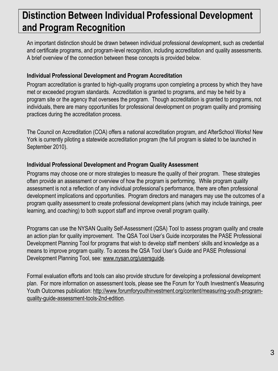# **Distinction Between Individual Professional Development and Program Recognition**

An important distinction should be drawn between individual professional development, such as credential and certificate programs, and program-level recognition, including accreditation and quality assessments. A brief overview of the connection between these concepts is provided below.

### **Individual Professional Development and Program Accreditation**

Program accreditation is granted to high-quality programs upon completing a process by which they have met or exceeded program standards. Accreditation is granted to programs, and may be held by a program site or the agency that oversees the program. Though accreditation is granted to programs, not individuals, there are many opportunities for professional development on program quality and promising practices during the accreditation process.

The Council on Accreditation (COA) offers a national accreditation program, and AfterSchool Works! New York is currently piloting a statewide accreditation program (the full program is slated to be launched in September 2010).

### **Individual Professional Development and Program Quality Assessment**

Programs may choose one or more strategies to measure the quality of their program. These strategies often provide an assessment or overview of how the program is performing. While program quality assessment is not a reflection of any individual professional's performance, there are often professional development implications and opportunities. Program directors and managers may use the outcomes of a program quality assessment to create professional development plans (which may include trainings, peer learning, and coaching) to both support staff and improve overall program quality.

Programs can use the NYSAN Quality Self-Assessment (QSA) Tool to assess program quality and create an action plan for quality improvement. The QSA Tool User's Guide incorporates the PASE Professional Development Planning Tool for programs that wish to develop staff members' skills and knowledge as a means to improve program quality. To access the QSA Tool User's Guide and PASE Professional Development Planning Tool, see: [www.nysan.org/usersguide.](http://www.nysan.org/usersguide)

Formal evaluation efforts and tools can also provide structure for developing a professional development plan. For more information on assessment tools, please see the Forum for Youth Investment's Measuring Youth Outcomes publication: [http://www.forumforyouthinvestment.org/content/measuring-youth-program](http://www.forumforyouthinvestment.org/content/measuring-youth-program-quality-guide-assessment-tools-2nd-edition)[quality-guide-assessment-tools-2nd-edition](http://www.forumforyouthinvestment.org/content/measuring-youth-program-quality-guide-assessment-tools-2nd-edition).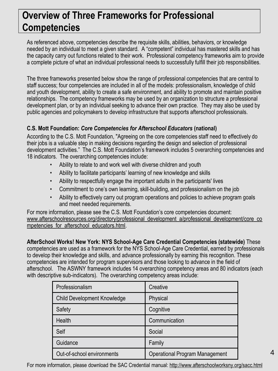# **Overview of Three Frameworks for Professional Competencies**

As referenced above, competencies describe the requisite skills, abilities, behaviors, or knowledge needed by an individual to meet a given standard. A "competent" individual has mastered skills and has the capacity carry out functions related to their work. Professional competency frameworks aim to provide a complete picture of what an individual professional needs to successfully fulfill their job responsibilities.

The three frameworks presented below show the range of professional competencies that are central to staff success; four competencies are included in all of the models: professionalism, knowledge of child and youth development, ability to create a safe environment, and ability to promote and maintain positive relationships. The competency frameworks may be used by an organization to structure a professional development plan, or by an individual seeking to advance their own practice. They may also be used by public agencies and policymakers to develop infrastructure that supports afterschool professionals.

### **C.S. Mott Foundation:** *Core Competencies for Afterschool Educators* **(national)**

According to the C.S. Mott Foundation, "Agreeing on the core competencies staff need to effectively do their jobs is a valuable step in making decisions regarding the design and selection of professional development activities." The C.S. Mott Foundation's framework includes 5 overarching competencies and 18 indicators. The overarching competencies include:

- Ability to relate to and work well with diverse children and youth
- Ability to facilitate participants' learning of new knowledge and skills
- Ability to respectfully engage the important adults in the participants' lives
- Commitment to one's own learning, skill-building, and professionalism on the job
- Ability to effectively carry out program operations and policies to achieve program goals and meet needed requirements.

For more information, please see the C.S. Mott Foundation's core competencies document: [www.afterschoolresources.org/directory/professional\\_development\\_a/professional\\_development/core\\_co](http://www.afterschoolresources.org/directory/professional_development_a/professional_development/core_competencies_for_afterschool_educators.html) mpetencies for afterschool educators.html.

**AfterSchool Works! New York: NYS School-Age Care Credential Competencies (statewide)** These competencies are used as a framework for the NYS School-Age Care Credential, earned by professionals to develop their knowledge and skills, and advance professionally by earning this recognition. These competencies are intended for program supervisors and those looking to advance in the field of afterschool. The ASWNY framework includes 14 overarching competency areas and 80 indicators (each with descriptive sub-indicators). The overarching competency areas include:

| Professionalism             | Creative                              |
|-----------------------------|---------------------------------------|
| Child Development Knowledge | Physical                              |
| Safety                      | Cognitive                             |
| Health                      | Communication                         |
| Self                        | Social                                |
| Guidance                    | Family                                |
| Out-of-school environments  | <b>Operational Program Management</b> |

For more information, please download the SAC Credential manual:<http://www.afterschoolworksny.org/sacc.html>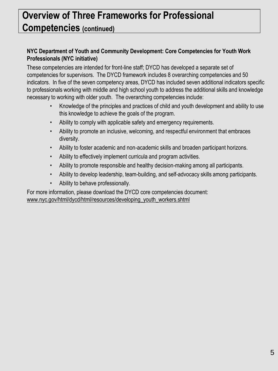# **Overview of Three Frameworks for Professional Competencies (continued)**

### **NYC Department of Youth and Community Development: Core Competencies for Youth Work Professionals (NYC initiative)**

These competencies are intended for front-line staff; DYCD has developed a separate set of competencies for supervisors. The DYCD framework includes 8 overarching competencies and 50 indicators. In five of the seven competency areas, DYCD has included seven additional indicators specific to professionals working with middle and high school youth to address the additional skills and knowledge necessary to working with older youth. The overarching competencies include:

- Knowledge of the principles and practices of child and youth development and ability to use this knowledge to achieve the goals of the program.
- Ability to comply with applicable safety and emergency requirements.
- Ability to promote an inclusive, welcoming, and respectful environment that embraces diversity.
- Ability to foster academic and non-academic skills and broaden participant horizons.
- Ability to effectively implement curricula and program activities.
- Ability to promote responsible and healthy decision-making among all participants.
- Ability to develop leadership, team-building, and self-advocacy skills among participants.
- Ability to behave professionally.

For more information, please download the DYCD core competencies document: [www.nyc.gov/html/dycd/html/resources/developing\\_youth\\_workers.shtml](http://www.nyc.gov/html/dycd/html/resources/developing_youth_workers.shtml)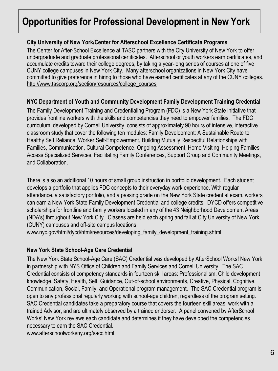### **City University of New York/Center for Afterschool Excellence Certificate Programs**

The Center for After-School Excellence at TASC partners with the City University of New York to offer undergraduate and graduate professional certificates. Afterschool or youth workers earn certificates, and accumulate credits toward their college degrees, by taking a year-long series of courses at one of five CUNY college campuses in New York City. Many afterschool organizations in New York City have committed to give preference in hiring to those who have earned certificates at any of the CUNY colleges. [http://www.tascorp.org/section/resources/college\\_courses](http://www.tascorp.org/section/resources/college_courses)

### **NYC Department of Youth and Community Development Family Development Training Credential**

The Family Development Training and Credentialing Program (FDC) is a New York State initiative that provides frontline workers with the skills and competencies they need to empower families. The FDC curriculum, developed by Cornell University, consists of approximately 90 hours of intensive, interactive classroom study that cover the following ten modules: Family Development: A Sustainable Route to Healthy Self Reliance, Worker Self-Empowerment, Building Mutually Respectful Relationships with Families, Communication, Cultural Competence, Ongoing Assessment, Home Visiting, Helping Families Access Specialized Services, Facilitating Family Conferences, Support Group and Community Meetings, and Collaboration.

There is also an additional 10 hours of small group instruction in portfolio development. Each student develops a portfolio that applies FDC concepts to their everyday work experience. With regular attendance, a satisfactory portfolio, and a passing grade on the New York State credential exam, workers can earn a New York State Family Development Credential and college credits. DYCD offers competitive scholarships for frontline and family workers located in any of the 43 Neighborhood Development Areas (NDA's) throughout New York City. Classes are held each spring and fall at City University of New York (CUNY) campuses and off-site campus locations.

[www.nyc.gov/html/dycd/html/resources/developing\\_family\\_development\\_training.shtml](http://www.nyc.gov/html/dycd/html/resources/developing_family_development_training.shtml)

### **New York State School-Age Care Credential**

The New York State School-Age Care (SAC) Credential was developed by AfterSchool Works! New York in partnership with NYS Office of Children and Family Services and Cornell University. The SAC Credential consists of competency standards in fourteen skill areas: Professionalism, Child development knowledge, Safety, Health, Self, Guidance, Out-of-school environments, Creative, Physical, Cognitive, Communication, Social, Family, and Operational program management. The SAC Credential program is open to any professional regularly working with school-age children, regardless of the program setting. SAC Credential candidates take a preparatory course that covers the fourteen skill areas, work with a trained Advisor, and are ultimately observed by a trained endorser. A panel convened by AfterSchool Works! New York reviews each candidate and determines if they have developed the competencies necessary to earn the SAC Credential.

[www.afterschoolworksny.org/sacc.html](http://www.afterschoolworksny.org/sacc.html)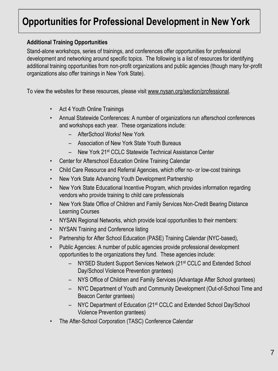### **Additional Training Opportunities**

Stand-alone workshops, series of trainings, and conferences offer opportunities for professional development and networking around specific topics. The following is a list of resources for identifying additional training opportunities from non-profit organizations and public agencies (though many for-profit organizations also offer trainings in New York State).

To view the websites for these resources, please visit [www.nysan.org/section/professional.](http://www.nysan.org/section/professional)

- Act 4 Youth Online Trainings
- Annual Statewide Conferences: A number of organizations run afterschool conferences and workshops each year. These organizations include:
	- AfterSchool Works! New York
	- Association of New York State Youth Bureaus
	- New York 21st CCLC Statewide Technical Assistance Center
- Center for Afterschool Education Online Training Calendar
- Child Care Resource and Referral Agencies, which offer no- or low-cost trainings
- New York State Advancing Youth Development Partnership
- New York State Educational Incentive Program, which provides information regarding vendors who provide training to child care professionals
- New York State Office of Children and Family Services Non-Credit Bearing Distance Learning Courses
- NYSAN Regional Networks, which provide local opportunities to their members:
- NYSAN Training and Conference listing
- Partnership for After School Education (PASE) Training Calendar (NYC-based),
- Public Agencies: A number of public agencies provide professional development opportunities to the organizations they fund. These agencies include:
	- NYSED Student Support Services Network (21<sup>st</sup> CCLC and Extended School Day/School Violence Prevention grantees)
	- NYS Office of Children and Family Services (Advantage After School grantees)
	- NYC Department of Youth and Community Development (Out-of-School Time and Beacon Center grantees)
	- NYC Department of Education (21st CCLC and Extended School Day/School Violence Prevention grantees)
- The After-School Corporation (TASC) Conference Calendar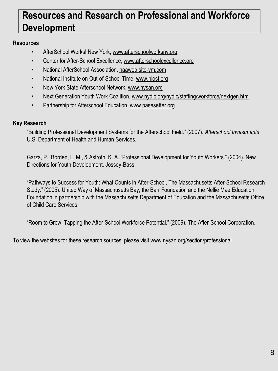# **Resources and Research on Professional and Workforce Development**

### **Resources**

- AfterSchool Works! New York, [www.afterschoolworksny.org](http://www.afterschoolworksny.org)
- Center for After-School Excellence, [www.afterschoolexcellence.org](http://www.afterschoolexcellence.org)
- National AfterSchool Association, [naaweb.site-ym.com](file://localhost/E/%C2%A5%C2%A5naaweb.site-ym.com)
- National Institute on Out-of-School Time, [www.niost.org](http://www.niost.org)
- New York State Afterschool Network, [www.nysan.org](http://www.nysan.org)
- Next Generation Youth Work Coalition, [www.nydic.org/nydic/staffing/workforce/nextgen.htm](http://www.nydic.org/nydic/staffing/workforce/nextgen.htm)
- Partnership for Afterschool Education, [www.pasesetter.org](http://www.pasesetter.org)

#### **Key Research**

"Building Professional Development Systems for the Afterschool Field." (2007). *Afterschool Investments*. U.S. Department of Health and Human Services.

Garza, P., Borden, L. M., & Astroth, K. A. "Professional Development for Youth Workers." (2004). New Directions for Youth Development. Jossey-Bass.

"Pathways to Success for Youth: What Counts in After-School, The Massachusetts After-School Research Study." (2005). United Way of Massachusetts Bay, the Barr Foundation and the Nellie Mae Education Foundation in partnership with the Massachusetts Department of Education and the Massachusetts Office of Child Care Services.

"Room to Grow: Tapping the After-School Workforce Potential." (2009). The After-School Corporation.

To view the websites for these research sources, please visit [www.nysan.org/section/professional.](http://www.nysan.org/section/professional)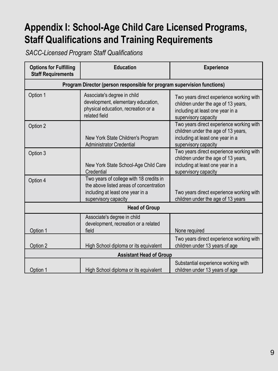# **Appendix I: School-Age Child Care Licensed Programs, Staff Qualifications and Training Requirements**

*SACC-Licensed Program Staff Qualifications* 

| <b>Options for Fulfilling</b><br><b>Staff Requirements</b>              | <b>Education</b>                                                                                                                               | <b>Experience</b>                                                                                                                           |  |
|-------------------------------------------------------------------------|------------------------------------------------------------------------------------------------------------------------------------------------|---------------------------------------------------------------------------------------------------------------------------------------------|--|
| Program Director (person responsible for program supervision functions) |                                                                                                                                                |                                                                                                                                             |  |
| Option 1                                                                | Associate's degree in child<br>development, elementary education,<br>physical education, recreation or a<br>related field                      | Two years direct experience working with<br>children under the age of 13 years,<br>including at least one year in a<br>supervisory capacity |  |
| Option 2                                                                | New York State Children's Program<br><b>Administrator Credential</b>                                                                           | Two years direct experience working with<br>children under the age of 13 years,<br>including at least one year in a<br>supervisory capacity |  |
| Option 3                                                                | New York State School-Age Child Care<br>Credential                                                                                             | Two years direct experience working with<br>children under the age of 13 years,<br>including at least one year in a<br>supervisory capacity |  |
| Option 4                                                                | Two years of college with 18 credits in<br>the above listed areas of concentration<br>including at least one year in a<br>supervisory capacity | Two years direct experience working with<br>children under the age of 13 years                                                              |  |
| <b>Head of Group</b>                                                    |                                                                                                                                                |                                                                                                                                             |  |
| Option 1                                                                | Associate's degree in child<br>development, recreation or a related<br>field                                                                   | None required                                                                                                                               |  |
| Option 2                                                                | High School diploma or its equivalent                                                                                                          | Two years direct experience working with<br>children under 13 years of age                                                                  |  |
| <b>Assistant Head of Group</b>                                          |                                                                                                                                                |                                                                                                                                             |  |
| Option 1                                                                | High School diploma or its equivalent                                                                                                          | Substantial experience working with<br>children under 13 years of age                                                                       |  |